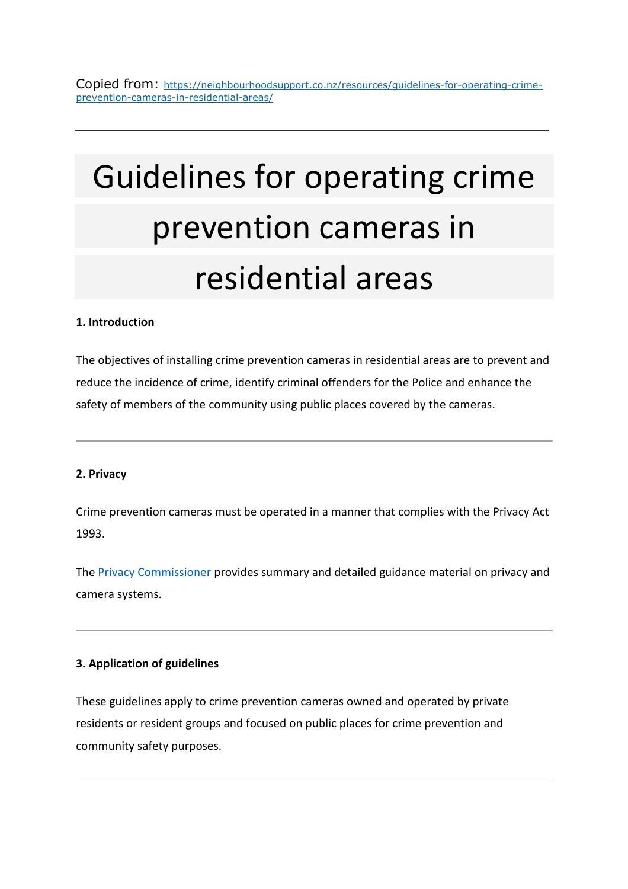# Guidelines for operating crime prevention cameras in residential areas

# **1. Introduction**

The objectives of installing crime prevention cameras in residential areas are to prevent and reduce the incidence of crime, identify criminal offenders for the Police and enhance the safety of members of the community using public places covered by the cameras.

## **2. Privacy**

Crime prevention cameras must be operated in a manner that complies with the Privacy Act 1993.

The Privacy Commissioner provides summary and detailed guidance material on privacy and camera systems.

## **3. Application of guidelines**

These guidelines apply to crime prevention cameras owned and operated by private residents or resident groups and focused on public places for crime prevention and community safety purposes.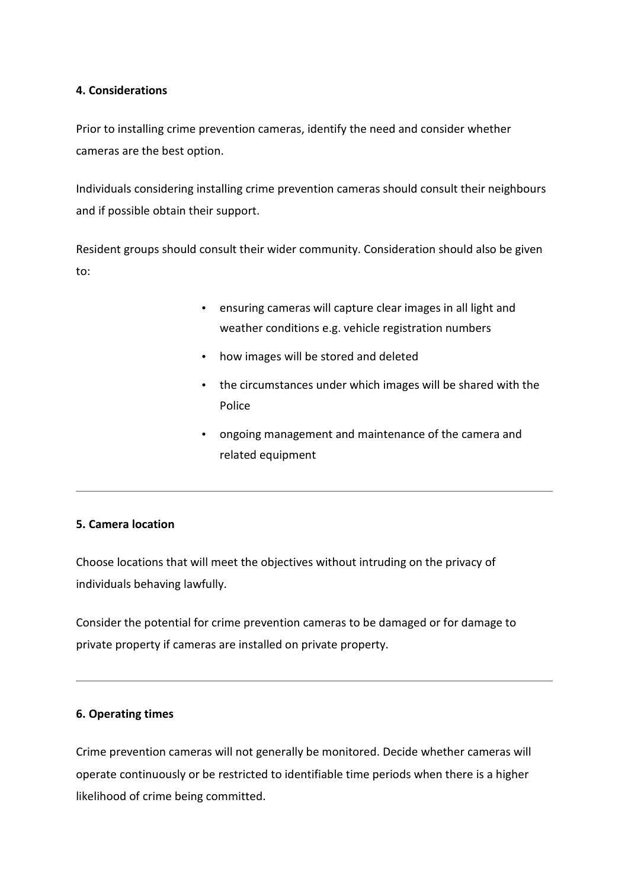## **4. Considerations**

Prior to installing crime prevention cameras, identify the need and consider whether cameras are the best option.

Individuals considering installing crime prevention cameras should consult their neighbours and if possible obtain their support.

Resident groups should consult their wider community. Consideration should also be given to:

- ensuring cameras will capture clear images in all light and weather conditions e.g. vehicle registration numbers
- how images will be stored and deleted
- the circumstances under which images will be shared with the Police
- ongoing management and maintenance of the camera and related equipment

## **5. Camera location**

Choose locations that will meet the objectives without intruding on the privacy of individuals behaving lawfully.

Consider the potential for crime prevention cameras to be damaged or for damage to private property if cameras are installed on private property.

## **6. Operating times**

Crime prevention cameras will not generally be monitored. Decide whether cameras will operate continuously or be restricted to identifiable time periods when there is a higher likelihood of crime being committed.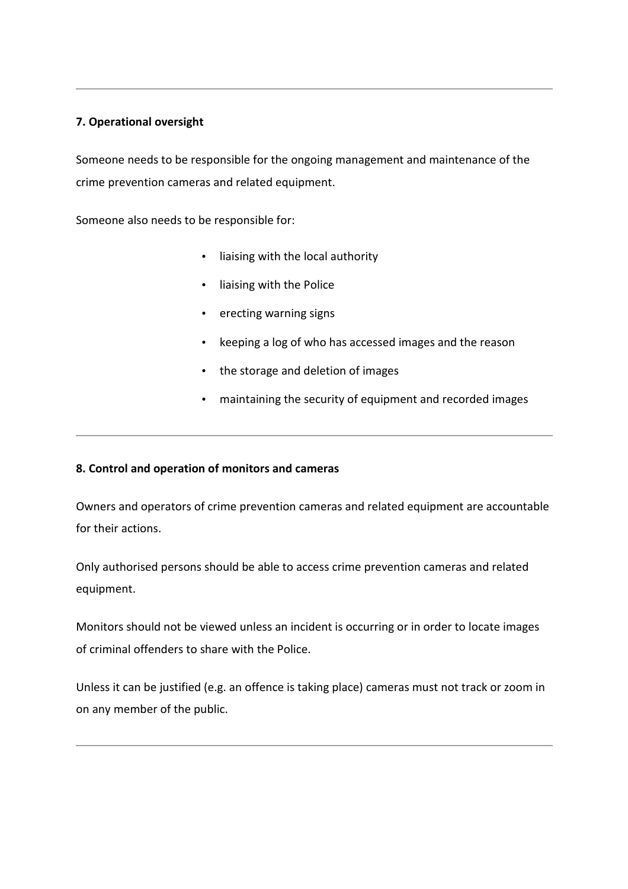# **7. Operational oversight**

Someone needs to be responsible for the ongoing management and maintenance of the crime prevention cameras and related equipment.

Someone also needs to be responsible for:

- liaising with the local authority
- liaising with the Police
- erecting warning signs
- keeping a log of who has accessed images and the reason
- the storage and deletion of images
- maintaining the security of equipment and recorded images

# **8. Control and operation of monitors and cameras**

Owners and operators of crime prevention cameras and related equipment are accountable for their actions.

Only authorised persons should be able to access crime prevention cameras and related equipment.

Monitors should not be viewed unless an incident is occurring or in order to locate images of criminal offenders to share with the Police.

Unless it can be justified (e.g. an offence is taking place) cameras must not track or zoom in on any member of the public.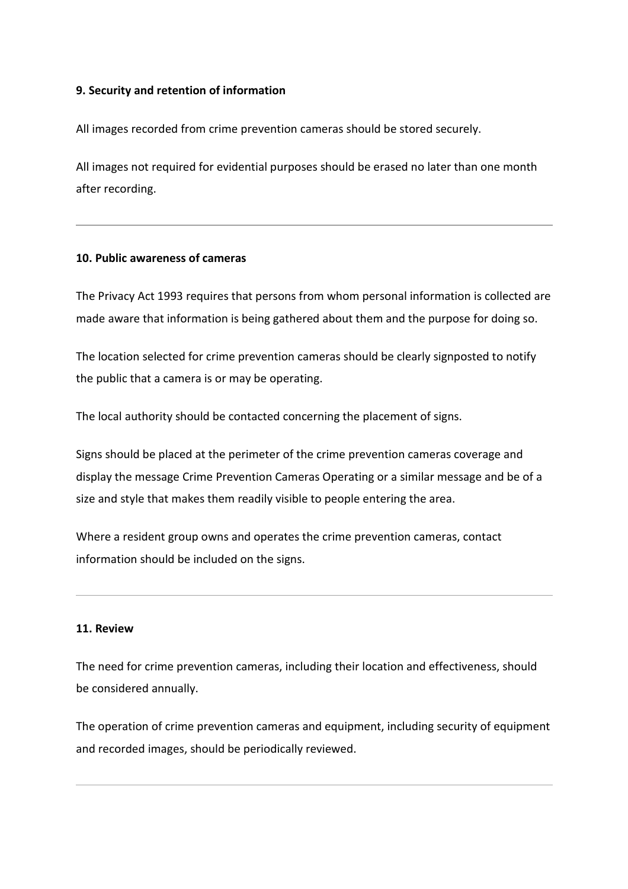## **9. Security and retention of information**

All images recorded from crime prevention cameras should be stored securely.

All images not required for evidential purposes should be erased no later than one month after recording.

## **10. Public awareness of cameras**

The Privacy Act 1993 requires that persons from whom personal information is collected are made aware that information is being gathered about them and the purpose for doing so.

The location selected for crime prevention cameras should be clearly signposted to notify the public that a camera is or may be operating.

The local authority should be contacted concerning the placement of signs.

Signs should be placed at the perimeter of the crime prevention cameras coverage and display the message Crime Prevention Cameras Operating or a similar message and be of a size and style that makes them readily visible to people entering the area.

Where a resident group owns and operates the crime prevention cameras, contact information should be included on the signs.

## **11. Review**

The need for crime prevention cameras, including their location and effectiveness, should be considered annually.

The operation of crime prevention cameras and equipment, including security of equipment and recorded images, should be periodically reviewed.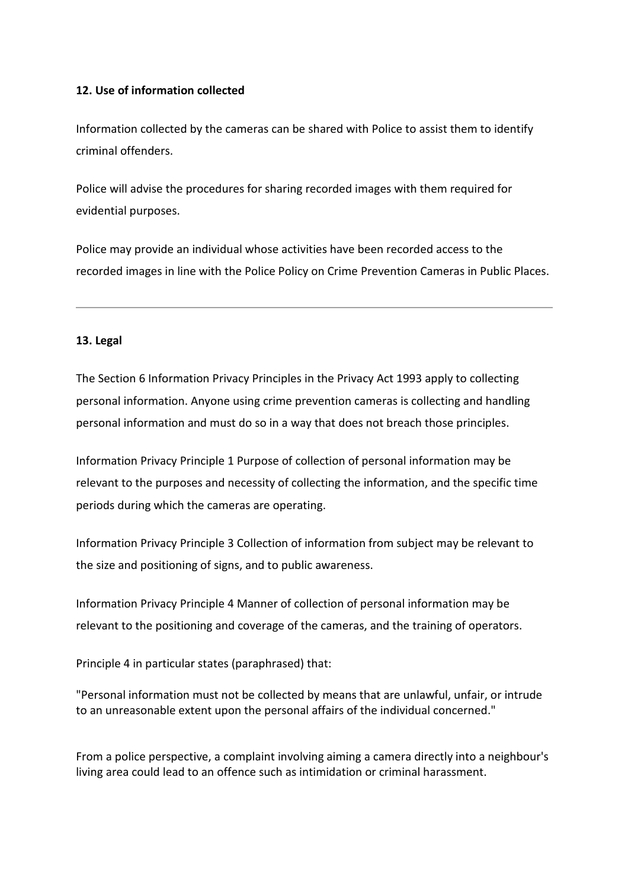## **12. Use of information collected**

Information collected by the cameras can be shared with Police to assist them to identify criminal offenders.

Police will advise the procedures for sharing recorded images with them required for evidential purposes.

Police may provide an individual whose activities have been recorded access to the recorded images in line with the Police Policy on Crime Prevention Cameras in Public Places.

## **13. Legal**

The Section 6 Information Privacy Principles in the Privacy Act 1993 apply to collecting personal information. Anyone using crime prevention cameras is collecting and handling personal information and must do so in a way that does not breach those principles.

Information Privacy Principle 1 Purpose of collection of personal information may be relevant to the purposes and necessity of collecting the information, and the specific time periods during which the cameras are operating.

Information Privacy Principle 3 Collection of information from subject may be relevant to the size and positioning of signs, and to public awareness.

Information Privacy Principle 4 Manner of collection of personal information may be relevant to the positioning and coverage of the cameras, and the training of operators.

Principle 4 in particular states (paraphrased) that:

"Personal information must not be collected by means that are unlawful, unfair, or intrude to an unreasonable extent upon the personal affairs of the individual concerned."

From a police perspective, a complaint involving aiming a camera directly into a neighbour's living area could lead to an offence such as intimidation or criminal harassment.